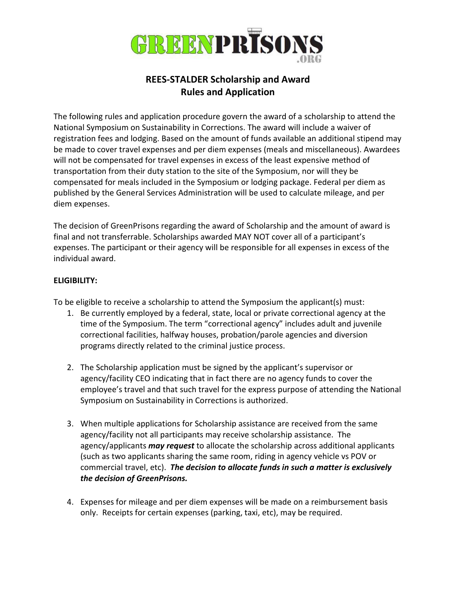

## REES-STALDER Scholarship and Award Rules and Application

The following rules and application procedure govern the award of a scholarship to attend the National Symposium on Sustainability in Corrections. The award will include a waiver of registration fees and lodging. Based on the amount of funds available an additional stipend may be made to cover travel expenses and per diem expenses (meals and miscellaneous). Awardees will not be compensated for travel expenses in excess of the least expensive method of transportation from their duty station to the site of the Symposium, nor will they be compensated for meals included in the Symposium or lodging package. Federal per diem as published by the General Services Administration will be used to calculate mileage, and per diem expenses.

The decision of GreenPrisons regarding the award of Scholarship and the amount of award is final and not transferrable. Scholarships awarded MAY NOT cover all of a participant's expenses. The participant or their agency will be responsible for all expenses in excess of the individual award.

## ELIGIBILITY:

To be eligible to receive a scholarship to attend the Symposium the applicant(s) must:

- 1. Be currently employed by a federal, state, local or private correctional agency at the time of the Symposium. The term "correctional agency" includes adult and juvenile correctional facilities, halfway houses, probation/parole agencies and diversion programs directly related to the criminal justice process.
- 2. The Scholarship application must be signed by the applicant's supervisor or agency/facility CEO indicating that in fact there are no agency funds to cover the employee's travel and that such travel for the express purpose of attending the National Symposium on Sustainability in Corrections is authorized.
- 3. When multiple applications for Scholarship assistance are received from the same agency/facility not all participants may receive scholarship assistance. The agency/applicants **may request** to allocate the scholarship across additional applicants (such as two applicants sharing the same room, riding in agency vehicle vs POV or commercial travel, etc). The decision to allocate funds in such a matter is exclusively the decision of GreenPrisons.
- 4. Expenses for mileage and per diem expenses will be made on a reimbursement basis only. Receipts for certain expenses (parking, taxi, etc), may be required.